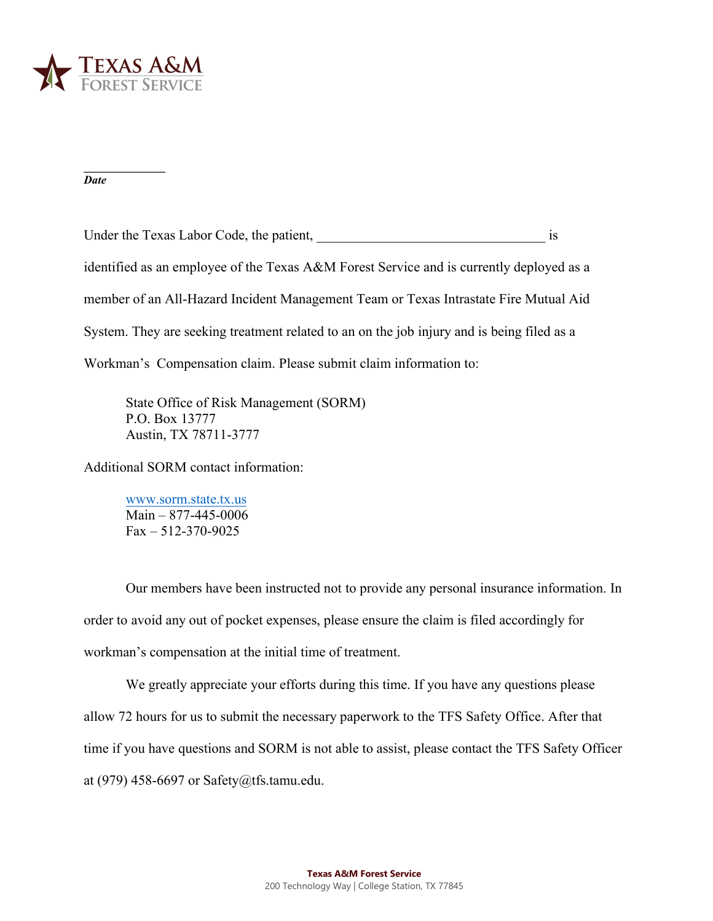

**\_\_\_\_\_\_\_\_\_\_\_\_\_\_** *Date* 

Under the Texas Labor Code, the patient,  $\qquad \qquad$  is identified as an employee of the Texas A&M Forest Service and is currently deployed as a member of an All-Hazard Incident Management Team or Texas Intrastate Fire Mutual Aid System. They are seeking treatment related to an on the job injury and is being filed as a Workman's Compensation claim. Please submit claim information to:

State Office of Risk Management (SORM) P.O. Box 13777 Austin, TX 78711-3777

Additi[onal SORM contact inf](http://www.sorm.state.tx.us/)ormation:

www.sorm.state.tx.us Main – 877-445-0006  $Fax - 512 - 370 - 9025$ 

Our members have been instructed not to provide any personal insurance information. In order to avoid any out of pocket expenses, please ensure the claim is filed accordingly for workman's compensation at the initial time of treatment.

We greatly appreciate your efforts during this time. If you have any questions please allow 72 hours for us to submit the necessary paperwork to the TFS Safety Office. After that time if you have questions and SORM is not able to assist, please contact the TFS Safety Officer at (979) 458-6697 or Safety@tfs.t[amu.edu.](mailto:Melinda.Pittman@teex.tamu.edu)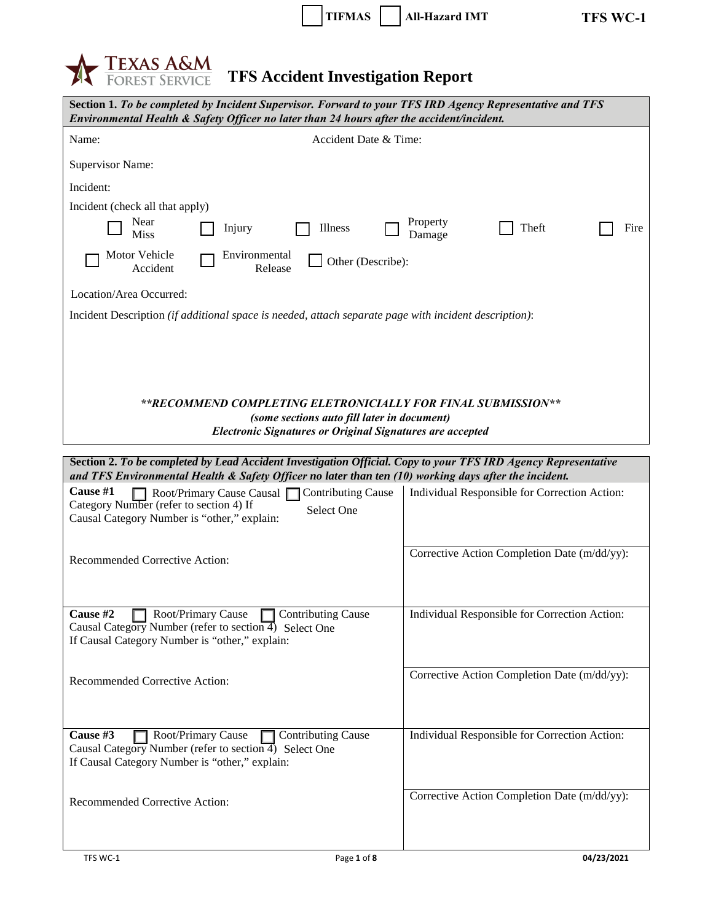| <b>TIFMAS</b> | All-Hazard IMT |
|---------------|----------------|



| Section 1. To be completed by Incident Supervisor. Forward to your TFS IRD Agency Representative and TFS<br>Environmental Health & Safety Officer no later than 24 hours after the accident/incident.                   |                                               |  |  |  |  |
|-------------------------------------------------------------------------------------------------------------------------------------------------------------------------------------------------------------------------|-----------------------------------------------|--|--|--|--|
| Accident Date & Time:<br>Name:                                                                                                                                                                                          |                                               |  |  |  |  |
| <b>Supervisor Name:</b>                                                                                                                                                                                                 |                                               |  |  |  |  |
| Incident:                                                                                                                                                                                                               |                                               |  |  |  |  |
| Incident (check all that apply)                                                                                                                                                                                         |                                               |  |  |  |  |
| Near<br>Injury<br>Illness<br><b>Miss</b>                                                                                                                                                                                | Property<br>Theft<br>Fire<br>Damage           |  |  |  |  |
| Motor Vehicle<br>Environmental<br>Other (Describe):<br>Accident<br>Release                                                                                                                                              |                                               |  |  |  |  |
| Location/Area Occurred:                                                                                                                                                                                                 |                                               |  |  |  |  |
| Incident Description (if additional space is needed, attach separate page with incident description):                                                                                                                   |                                               |  |  |  |  |
|                                                                                                                                                                                                                         |                                               |  |  |  |  |
|                                                                                                                                                                                                                         |                                               |  |  |  |  |
| **RECOMMEND COMPLETING ELETRONICIALLY FOR FINAL SUBMISSION**                                                                                                                                                            |                                               |  |  |  |  |
| (some sections auto fill later in document)<br><b>Electronic Signatures or Original Signatures are accepted</b>                                                                                                         |                                               |  |  |  |  |
|                                                                                                                                                                                                                         |                                               |  |  |  |  |
| Section 2. To be completed by Lead Accident Investigation Official. Copy to your TFS IRD Agency Representative<br>and TFS Environmental Health & Safety Officer no later than ten (10) working days after the incident. |                                               |  |  |  |  |
| Cause #1<br>Root/Primary Cause Causal Contributing Cause<br>Category Number (refer to section 4) If<br>Select One<br>Causal Category Number is "other," explain:                                                        | Individual Responsible for Correction Action: |  |  |  |  |
| Recommended Corrective Action:                                                                                                                                                                                          | Corrective Action Completion Date (m/dd/yy):  |  |  |  |  |
|                                                                                                                                                                                                                         |                                               |  |  |  |  |
| Cause #2<br>Root/Primary Cause Contributing Cause<br>Causal Category Number (refer to section $\overline{4}$ ) Select One<br>If Causal Category Number is "other," explain:                                             | Individual Responsible for Correction Action: |  |  |  |  |
| Recommended Corrective Action:                                                                                                                                                                                          | Corrective Action Completion Date (m/dd/yy):  |  |  |  |  |
|                                                                                                                                                                                                                         |                                               |  |  |  |  |
| Cause #3<br>Root/Primary Cause<br>$\Box$ Contributing Cause<br>Causal Category Number (refer to section $\overline{4}$ ) Select One<br>If Causal Category Number is "other," explain:                                   | Individual Responsible for Correction Action: |  |  |  |  |
| Recommended Corrective Action:                                                                                                                                                                                          | Corrective Action Completion Date (m/dd/yy):  |  |  |  |  |
|                                                                                                                                                                                                                         |                                               |  |  |  |  |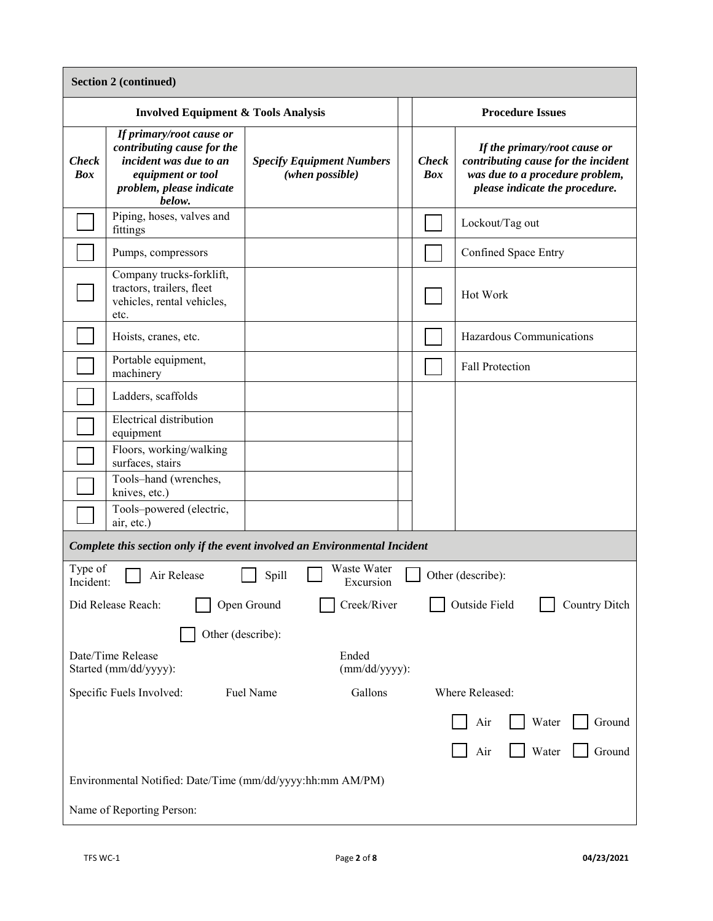| <b>Section 2 (continued)</b>                                            |                                                                                                                                             |                                                                            |  |                                                                                                                                                                        |                                       |  |  |
|-------------------------------------------------------------------------|---------------------------------------------------------------------------------------------------------------------------------------------|----------------------------------------------------------------------------|--|------------------------------------------------------------------------------------------------------------------------------------------------------------------------|---------------------------------------|--|--|
| <b>Involved Equipment &amp; Tools Analysis</b>                          |                                                                                                                                             |                                                                            |  | <b>Procedure Issues</b>                                                                                                                                                |                                       |  |  |
| <b>Check</b><br><b>Box</b>                                              | If primary/root cause or<br>contributing cause for the<br>incident was due to an<br>equipment or tool<br>problem, please indicate<br>below. | <b>Specify Equipment Numbers</b><br>(when possible)                        |  | If the primary/root cause or<br>contributing cause for the incident<br><b>Check</b><br><b>Box</b><br>was due to a procedure problem,<br>please indicate the procedure. |                                       |  |  |
|                                                                         | Piping, hoses, valves and<br>fittings                                                                                                       |                                                                            |  |                                                                                                                                                                        | Lockout/Tag out                       |  |  |
|                                                                         | Pumps, compressors                                                                                                                          |                                                                            |  |                                                                                                                                                                        | Confined Space Entry                  |  |  |
|                                                                         | Company trucks-forklift,<br>tractors, trailers, fleet<br>vehicles, rental vehicles,<br>etc.                                                 |                                                                            |  | Hot Work                                                                                                                                                               |                                       |  |  |
|                                                                         | Hoists, cranes, etc.                                                                                                                        |                                                                            |  |                                                                                                                                                                        | Hazardous Communications              |  |  |
|                                                                         | Portable equipment,<br>machinery                                                                                                            |                                                                            |  |                                                                                                                                                                        | <b>Fall Protection</b>                |  |  |
|                                                                         | Ladders, scaffolds                                                                                                                          |                                                                            |  |                                                                                                                                                                        |                                       |  |  |
|                                                                         | <b>Electrical distribution</b><br>equipment                                                                                                 |                                                                            |  |                                                                                                                                                                        |                                       |  |  |
|                                                                         | Floors, working/walking<br>surfaces, stairs                                                                                                 |                                                                            |  |                                                                                                                                                                        |                                       |  |  |
|                                                                         | Tools-hand (wrenches,<br>knives, etc.)                                                                                                      |                                                                            |  |                                                                                                                                                                        |                                       |  |  |
|                                                                         | Tools-powered (electric,<br>air, etc.)                                                                                                      |                                                                            |  |                                                                                                                                                                        |                                       |  |  |
|                                                                         |                                                                                                                                             | Complete this section only if the event involved an Environmental Incident |  |                                                                                                                                                                        |                                       |  |  |
| Type of<br>Incident:                                                    | Air Release                                                                                                                                 | Waste Water<br>Spill<br>Excursion                                          |  |                                                                                                                                                                        | Other (describe):                     |  |  |
|                                                                         | Did Release Reach:                                                                                                                          | Open Ground<br>Creek/River                                                 |  |                                                                                                                                                                        | Outside Field<br><b>Country Ditch</b> |  |  |
| Other (describe):                                                       |                                                                                                                                             |                                                                            |  |                                                                                                                                                                        |                                       |  |  |
| Date/Time Release<br>Ended<br>Started (mm/dd/yyyy):<br>$(mm/dd/yyyy)$ : |                                                                                                                                             |                                                                            |  |                                                                                                                                                                        |                                       |  |  |
| Gallons<br>Specific Fuels Involved:<br>Fuel Name                        |                                                                                                                                             |                                                                            |  |                                                                                                                                                                        | Where Released:                       |  |  |
|                                                                         |                                                                                                                                             |                                                                            |  |                                                                                                                                                                        | Water<br>Ground<br>Air                |  |  |
|                                                                         |                                                                                                                                             |                                                                            |  |                                                                                                                                                                        | Water<br>Ground<br>Air                |  |  |
| Environmental Notified: Date/Time (mm/dd/yyyy:hh:mm AM/PM)              |                                                                                                                                             |                                                                            |  |                                                                                                                                                                        |                                       |  |  |
| Name of Reporting Person:                                               |                                                                                                                                             |                                                                            |  |                                                                                                                                                                        |                                       |  |  |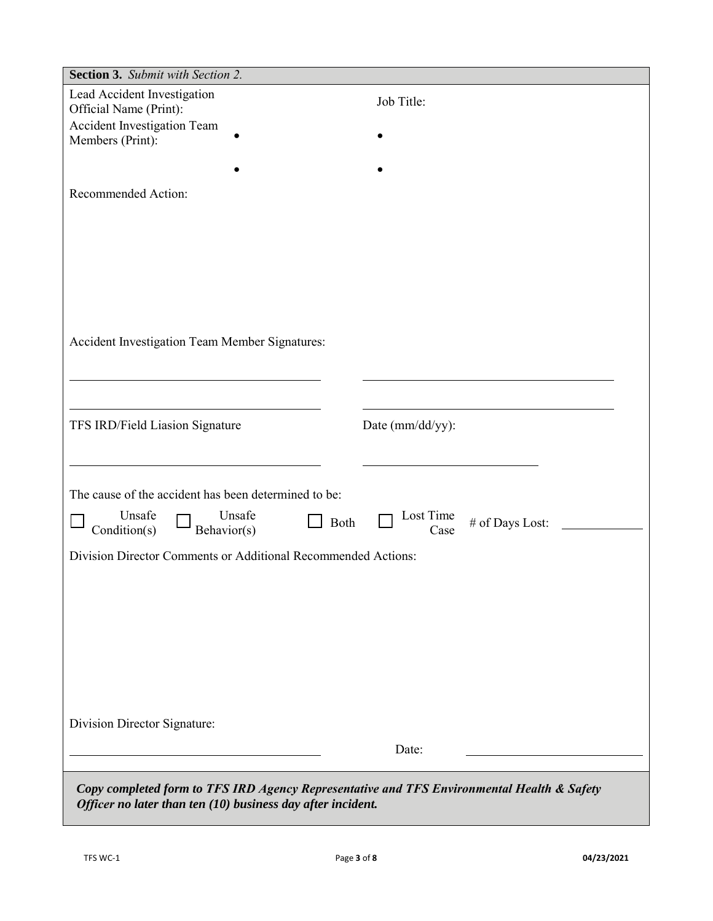| Section 3. Submit with Section 2.                                                          |                                      |
|--------------------------------------------------------------------------------------------|--------------------------------------|
| Lead Accident Investigation                                                                | Job Title:                           |
| Official Name (Print):                                                                     |                                      |
| Accident Investigation Team                                                                |                                      |
| Members (Print):                                                                           |                                      |
|                                                                                            |                                      |
| Recommended Action:                                                                        |                                      |
|                                                                                            |                                      |
|                                                                                            |                                      |
|                                                                                            |                                      |
|                                                                                            |                                      |
|                                                                                            |                                      |
|                                                                                            |                                      |
|                                                                                            |                                      |
| Accident Investigation Team Member Signatures:                                             |                                      |
|                                                                                            |                                      |
|                                                                                            |                                      |
|                                                                                            |                                      |
|                                                                                            |                                      |
| TFS IRD/Field Liasion Signature                                                            | Date (mm/dd/yy):                     |
|                                                                                            |                                      |
|                                                                                            |                                      |
|                                                                                            |                                      |
| The cause of the accident has been determined to be:                                       |                                      |
| Unsafe<br>Unsafe<br>$\Box$ Both<br>Condition(s)<br>Behavior(s)                             | Lost Time<br># of Days Lost:<br>Case |
| Division Director Comments or Additional Recommended Actions:                              |                                      |
|                                                                                            |                                      |
|                                                                                            |                                      |
|                                                                                            |                                      |
|                                                                                            |                                      |
|                                                                                            |                                      |
|                                                                                            |                                      |
|                                                                                            |                                      |
|                                                                                            |                                      |
| Division Director Signature:                                                               |                                      |
|                                                                                            |                                      |
|                                                                                            | Date:                                |
|                                                                                            |                                      |
| Copy completed form to TFS IRD Agency Representative and TFS Environmental Health & Safety |                                      |
| Officer no later than ten (10) business day after incident.                                |                                      |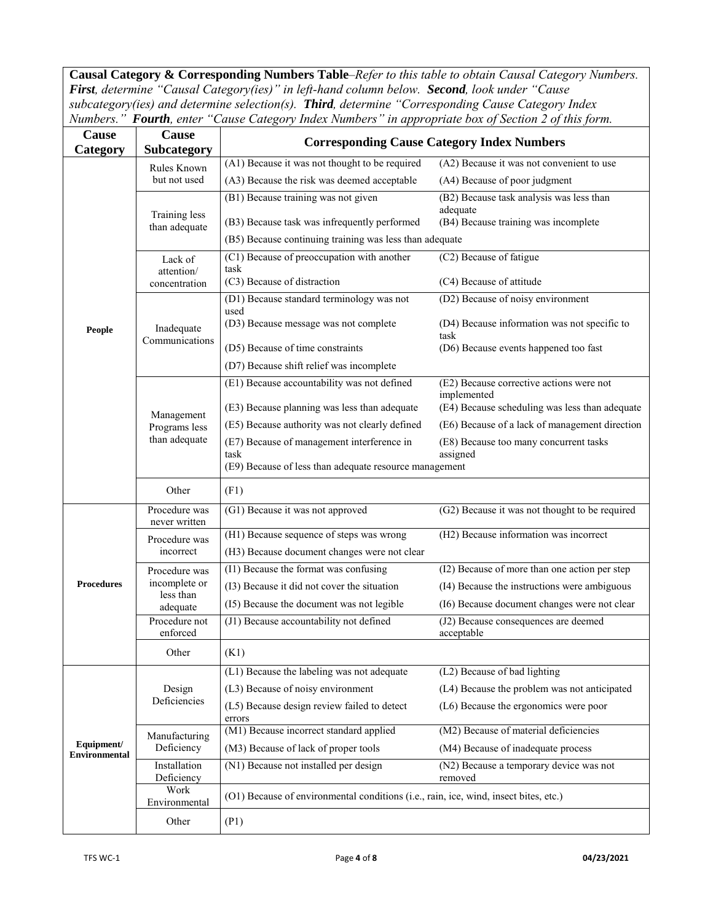**Causal Category & Corresponding Numbers Table**–*Refer to this table to obtain Causal Category Numbers. First, determine "Causal Category(ies)" in left-hand column below. Second, look under "Cause subcategory(ies) and determine selection(s). Third, determine "Corresponding Cause Category Index Numbers." Fourth, enter "Cause Category Index Numbers" in appropriate box of Section 2 of this form.*

| Cause                              | Cause                          | <b>Corresponding Cause Category Index Numbers</b>                                    |                                                      |  |  |  |  |
|------------------------------------|--------------------------------|--------------------------------------------------------------------------------------|------------------------------------------------------|--|--|--|--|
| Category                           | <b>Subcategory</b>             |                                                                                      |                                                      |  |  |  |  |
|                                    | Rules Known                    | (A1) Because it was not thought to be required                                       | (A2) Because it was not convenient to use            |  |  |  |  |
|                                    | but not used                   | (A3) Because the risk was deemed acceptable                                          | (A4) Because of poor judgment                        |  |  |  |  |
|                                    |                                | (B1) Because training was not given                                                  | (B2) Because task analysis was less than             |  |  |  |  |
|                                    | Training less                  | (B3) Because task was infrequently performed                                         | adequate<br>(B4) Because training was incomplete     |  |  |  |  |
|                                    | than adequate                  |                                                                                      |                                                      |  |  |  |  |
|                                    |                                | (B5) Because continuing training was less than adequate                              |                                                      |  |  |  |  |
|                                    | Lack of                        | (C1) Because of preoccupation with another<br>task                                   | (C2) Because of fatigue                              |  |  |  |  |
|                                    | attention/<br>concentration    | (C3) Because of distraction                                                          | (C4) Because of attitude                             |  |  |  |  |
|                                    |                                | (D1) Because standard terminology was not                                            | (D2) Because of noisy environment                    |  |  |  |  |
|                                    |                                | used                                                                                 |                                                      |  |  |  |  |
| People                             | Inadequate                     | (D3) Because message was not complete                                                | (D4) Because information was not specific to<br>task |  |  |  |  |
|                                    | Communications                 | (D5) Because of time constraints                                                     | (D6) Because events happened too fast                |  |  |  |  |
|                                    |                                | (D7) Because shift relief was incomplete                                             |                                                      |  |  |  |  |
|                                    |                                | (E1) Because accountability was not defined                                          | (E2) Because corrective actions were not             |  |  |  |  |
|                                    |                                |                                                                                      | implemented                                          |  |  |  |  |
|                                    | Management                     | (E3) Because planning was less than adequate                                         | (E4) Because scheduling was less than adequate       |  |  |  |  |
|                                    | Programs less<br>than adequate | (E5) Because authority was not clearly defined                                       | (E6) Because of a lack of management direction       |  |  |  |  |
|                                    |                                | (E7) Because of management interference in                                           | (E8) Because too many concurrent tasks               |  |  |  |  |
|                                    |                                | task                                                                                 | assigned                                             |  |  |  |  |
|                                    |                                | (E9) Because of less than adequate resource management                               |                                                      |  |  |  |  |
|                                    | Other                          | (F1)                                                                                 |                                                      |  |  |  |  |
|                                    | Procedure was<br>never written | (G1) Because it was not approved                                                     | (G2) Because it was not thought to be required       |  |  |  |  |
|                                    | Procedure was                  | (H1) Because sequence of steps was wrong                                             | (H2) Because information was incorrect               |  |  |  |  |
|                                    | incorrect                      | (H3) Because document changes were not clear                                         |                                                      |  |  |  |  |
|                                    | Procedure was                  | (I1) Because the format was confusing                                                | (I2) Because of more than one action per step        |  |  |  |  |
| <b>Procedures</b>                  | incomplete or                  | (I3) Because it did not cover the situation                                          | (I4) Because the instructions were ambiguous         |  |  |  |  |
|                                    | less than                      | (I5) Because the document was not legible                                            | (I6) Because document changes were not clear         |  |  |  |  |
|                                    | adequate<br>Procedure not      | (J1) Because accountability not defined                                              | (J2) Because consequences are deemed                 |  |  |  |  |
|                                    | enforced                       |                                                                                      | acceptable                                           |  |  |  |  |
|                                    | Other                          | (K1)                                                                                 |                                                      |  |  |  |  |
|                                    | Design<br>Deficiencies         | (L1) Because the labeling was not adequate                                           | (L2) Because of bad lighting                         |  |  |  |  |
|                                    |                                | (L3) Because of noisy environment                                                    | (L4) Because the problem was not anticipated         |  |  |  |  |
|                                    |                                | (L5) Because design review failed to detect                                          | (L6) Because the ergonomics were poor                |  |  |  |  |
|                                    |                                | errors                                                                               |                                                      |  |  |  |  |
|                                    | Manufacturing                  | (M1) Because incorrect standard applied                                              | (M2) Because of material deficiencies                |  |  |  |  |
| Equipment/<br><b>Environmental</b> | Deficiency                     | (M3) Because of lack of proper tools                                                 | (M4) Because of inadequate process                   |  |  |  |  |
|                                    | Installation<br>Deficiency     | (N1) Because not installed per design                                                | (N2) Because a temporary device was not<br>removed   |  |  |  |  |
|                                    | Work                           | (O1) Because of environmental conditions (i.e., rain, ice, wind, insect bites, etc.) |                                                      |  |  |  |  |
|                                    | Environmental                  |                                                                                      |                                                      |  |  |  |  |
|                                    | Other                          | (P1)                                                                                 |                                                      |  |  |  |  |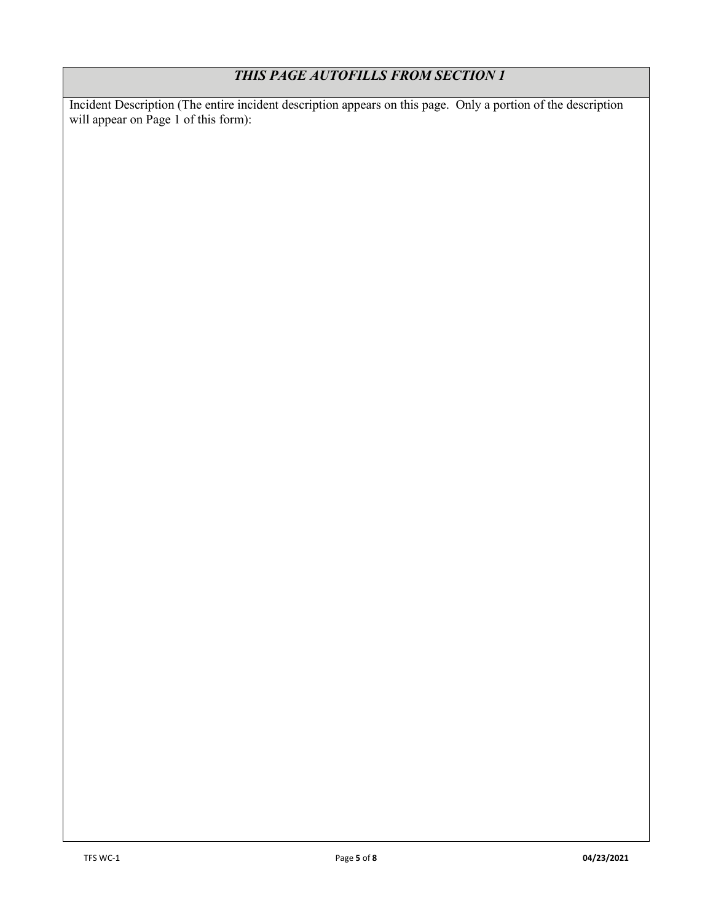# *THIS PAGE AUTOFILLS FROM SECTION 1*

Incident Description (The entire incident description appears on this page. Only a portion of the description will appear on Page 1 of this form):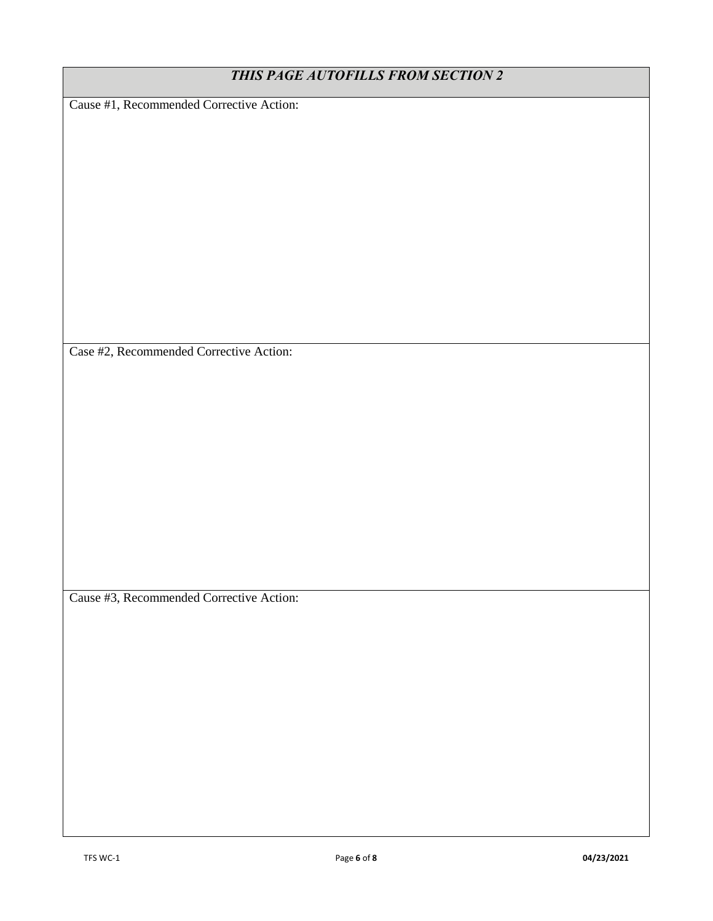| THIS PAGE AUTOFILLS FROM SECTION 2       |  |  |  |  |
|------------------------------------------|--|--|--|--|
| Cause #1, Recommended Corrective Action: |  |  |  |  |
|                                          |  |  |  |  |
|                                          |  |  |  |  |
|                                          |  |  |  |  |
|                                          |  |  |  |  |
|                                          |  |  |  |  |
|                                          |  |  |  |  |
|                                          |  |  |  |  |
|                                          |  |  |  |  |
|                                          |  |  |  |  |
|                                          |  |  |  |  |
|                                          |  |  |  |  |
| Case #2, Recommended Corrective Action:  |  |  |  |  |
|                                          |  |  |  |  |
|                                          |  |  |  |  |
|                                          |  |  |  |  |
|                                          |  |  |  |  |
|                                          |  |  |  |  |
|                                          |  |  |  |  |
|                                          |  |  |  |  |
|                                          |  |  |  |  |
|                                          |  |  |  |  |
|                                          |  |  |  |  |
| Cause #3, Recommended Corrective Action: |  |  |  |  |
|                                          |  |  |  |  |
|                                          |  |  |  |  |
|                                          |  |  |  |  |
|                                          |  |  |  |  |
|                                          |  |  |  |  |
|                                          |  |  |  |  |
|                                          |  |  |  |  |
|                                          |  |  |  |  |
|                                          |  |  |  |  |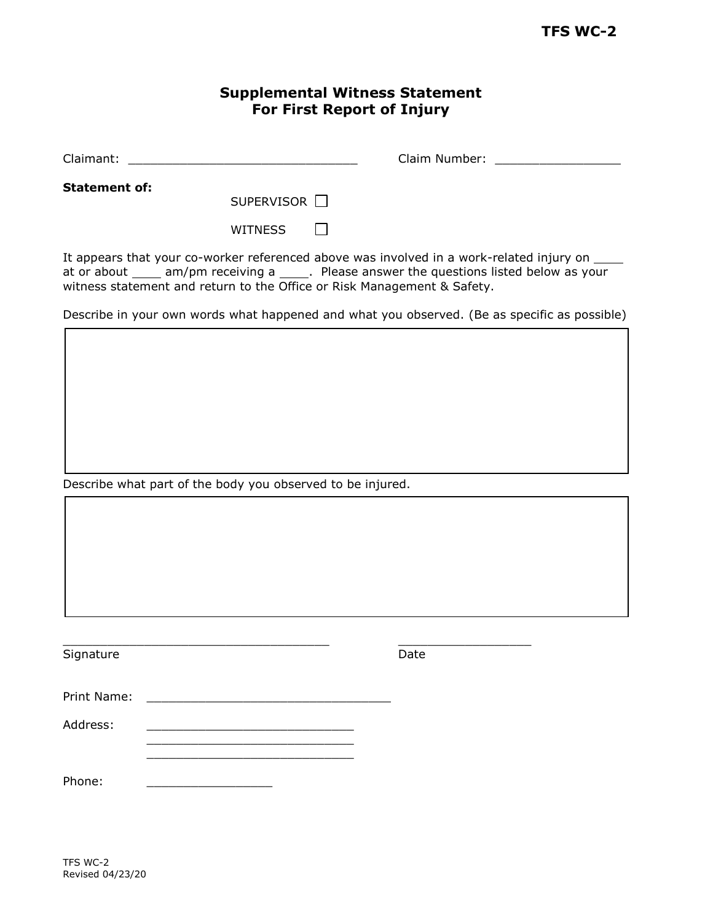## **Supplemental Witness Statement For First Report of Injury**

| Claimant | Claim Number:<br>$\sim$ |  |
|----------|-------------------------|--|
|          |                         |  |

**Statement of:** 

SUPERVISOR<sup>[]</sup>

 $\Box$ **WITNESS** 

It appears that your co-worker referenced above was involved in a work-related injury on  $\_\_$ at or about  $\frac{1}{\sqrt{2\pi}}$  am/pm receiving a  $\frac{1}{\sqrt{2\pi}}$ . Please answer the questions listed below as your witness statement and return to the Office or Risk Management & Safety.

Describe in your own words what happened and what you observed. (Be as specific as possible)

Describe what part of the body you observed to be injured.

Signature Date Date

Print Name:

 $\_$  , and the set of the set of the set of the set of the set of the set of the set of the set of the set of the set of the set of the set of the set of the set of the set of the set of the set of the set of the set of th

Address: \_\_\_\_\_\_\_\_\_\_\_\_\_\_\_\_\_\_\_\_\_\_\_\_\_\_\_\_

Phone:

TFS WC-2 Revised 04/23/20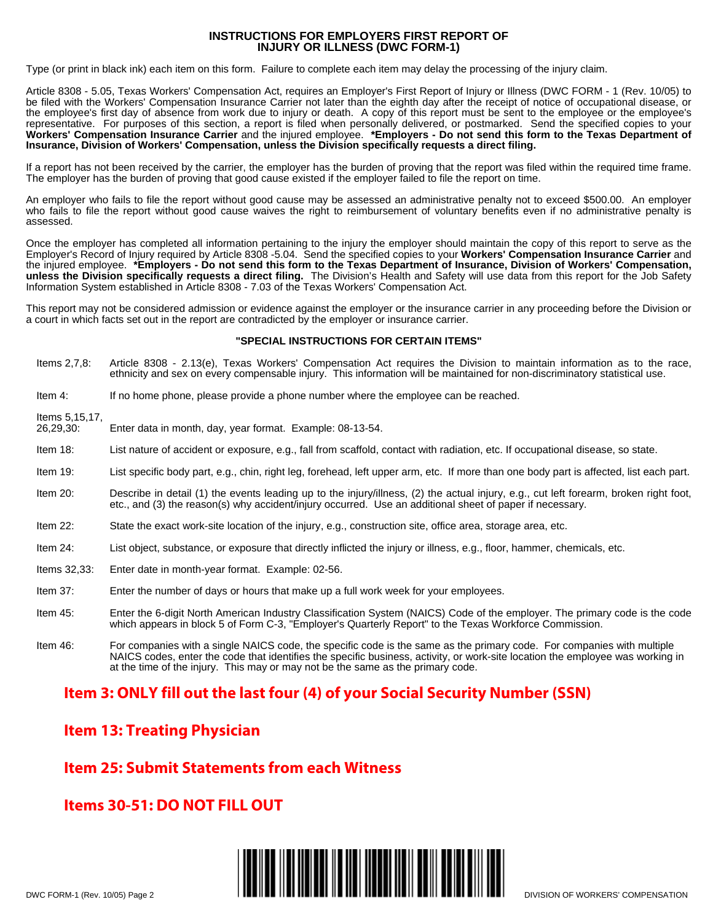#### **INSTRUCTIONS FOR EMPLOYERS FIRST REPORT OF INJURY OR ILLNESS (DWC FORM-1)**

Type (or print in black ink) each item on this form. Failure to complete each item may delay the processing of the injury claim.

Article 8308 - 5.05, Texas Workers' Compensation Act, requires an Employer's First Report of Injury or Illness (DWC FORM - 1 (Rev. 10/05) to be filed with the Workers' Compensation Insurance Carrier not later than the eighth day after the receipt of notice of occupational disease, or the employee's first day of absence from work due to injury or death. A copy of this report must be sent to the employee or the employee's representative. For purposes of this section, a report is filed when personally delivered, or postmarked. Send the specified copies to your **Workers' Compensation Insurance Carrier** and the injured employee. **\*Employers - Do not send this form to the Texas Department of Insurance, Division of Workers' Compensation, unless the Division specifically requests a direct filing.**

If a report has not been received by the carrier, the employer has the burden of proving that the report was filed within the required time frame. The employer has the burden of proving that good cause existed if the employer failed to file the report on time.

An employer who fails to file the report without good cause may be assessed an administrative penalty not to exceed \$500.00. An employer who fails to file the report without good cause waives the right to reimbursement of voluntary benefits even if no administrative penalty is assessed.

Once the employer has completed all information pertaining to the injury the employer should maintain the copy of this report to serve as the Employer's Record of Injury required by Article 8308 -5.04. Send the specified copies to your **Workers' Compensation Insurance Carrier** and the injured employee. **\*Employers - Do not send this form to the Texas Department of Insurance, Division of Workers' Compensation, unless the Division specifically requests a direct filing.** The Division's Health and Safety will use data from this report for the Job Safety Information System established in Article 8308 - 7.03 of the Texas Workers' Compensation Act.

This report may not be considered admission or evidence against the employer or the insurance carrier in any proceeding before the Division or a court in which facts set out in the report are contradicted by the employer or insurance carrier.

#### **"SPECIAL INSTRUCTIONS FOR CERTAIN ITEMS"**

- Items 2,7,8: Article 8308 2.13(e), Texas Workers' Compensation Act requires the Division to maintain information as to the race, ethnicity and sex on every compensable injury. This information will be maintained for non-discriminatory statistical use.
- Item 4: If no home phone, please provide a phone number where the employee can be reached.

Items 5,15,17,

- 26,29,30: Enter data in month, day, year format. Example: 08-13-54.
- Item 18: List nature of accident or exposure, e.g., fall from scaffold, contact with radiation, etc. If occupational disease, so state.
- Item 19: List specific body part, e.g., chin, right leg, forehead, left upper arm, etc. If more than one body part is affected, list each part.
- Item 20: Describe in detail (1) the events leading up to the injury/illness, (2) the actual injury, e.g., cut left forearm, broken right foot, etc., and (3) the reason(s) why accident/injury occurred. Use an additional sheet of paper if necessary.
- Item 22: State the exact work-site location of the injury, e.g., construction site, office area, storage area, etc.
- Item 24: List object, substance, or exposure that directly inflicted the injury or illness, e.g., floor, hammer, chemicals, etc.
- Items 32,33: Enter date in month-year format. Example: 02-56.
- Item 37: Enter the number of days or hours that make up a full work week for your employees.
- Item 45: Enter the 6-digit North American Industry Classification System (NAICS) Code of the employer. The primary code is the code which appears in block 5 of Form C-3, "Employer's Quarterly Report" to the Texas Workforce Commission.
- Item 46: For companies with a single NAICS code, the specific code is the same as the primary code. For companies with multiple NAICS codes, enter the code that identifies the specific business, activity, or work-site location the employee was working in at the time of the injury. This may or may not be the same as the primary code.

### **Item 3: ONLY fill out the last four (4) of your Social Security Number (SSN)**

### **Item 13: Treating Physician**

## **Item 25: Submit Statements from each Witness**

## **Items 30-51: DO NOT FILL OUT**